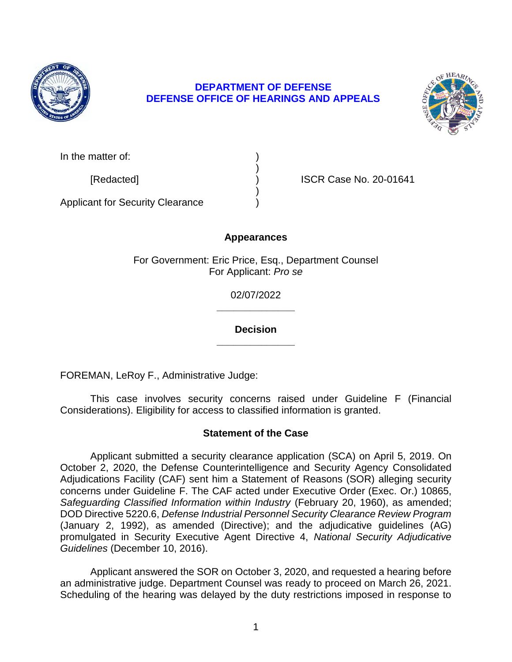

## **DEFENSE OFFICE OF HEARINGS AND APPEALS DEPARTMENT OF DEFENSE**



| In the matter of: |  |
|-------------------|--|
|                   |  |

[Redacted] ) ISCR Case No. 20-01641

Applicant for Security Clearance )

# **Appearances**

)

)

For Government: Eric Price, Esq., Department Counsel For Applicant: *Pro se* 

> **\_\_\_\_\_\_\_\_\_\_\_\_\_\_**  02/07/2022

> **\_\_\_\_\_\_\_\_\_\_\_\_\_\_ Decision**

FOREMAN, LeRoy F., Administrative Judge:

 This case involves security concerns raised under Guideline F (Financial Considerations). Eligibility for access to classified information is granted.

# **Statement of the Case**

 Applicant submitted a security clearance application (SCA) on April 5, 2019. On October 2, 2020, the Defense Counterintelligence and Security Agency Consolidated Adjudications Facility (CAF) sent him a Statement of Reasons (SOR) alleging security concerns under Guideline F. The CAF acted under Executive Order (Exec. Or.) 10865, Safeguarding Classified Information within Industry (February 20, 1960), as amended;  DOD Directive 5220.6, *Defense Industrial Personnel Security Clearance Review Program*  (January 2, 1992), as amended (Directive); and the adjudicative guidelines (AG) promulgated in Security Executive Agent Directive 4, *National Security Adjudicative Guidelines* (December 10, 2016).

 Applicant answered the SOR on October 3, 2020, and requested a hearing before an administrative judge. Department Counsel was ready to proceed on March 26, 2021. Scheduling of the hearing was delayed by the duty restrictions imposed in response to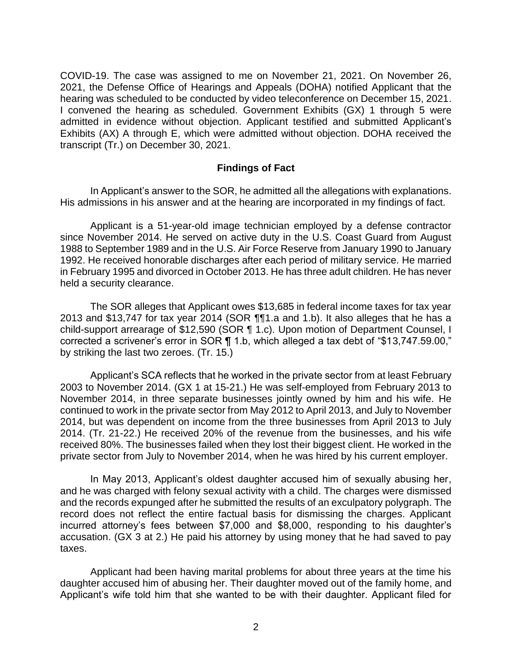COVID-19. The case was assigned to me on November 21, 2021. On November 26, 2021, the Defense Office of Hearings and Appeals (DOHA) notified Applicant that the hearing was scheduled to be conducted by video teleconference on December 15, 2021. I convened the hearing as scheduled. Government Exhibits (GX) 1 through 5 were admitted in evidence without objection. Applicant testified and submitted Applicant's Exhibits (AX) A through E, which were admitted without objection. DOHA received the transcript (Tr.) on December 30, 2021.

#### **Findings of Fact**

 In Applicant's answer to the SOR, he admitted all the allegations with explanations. His admissions in his answer and at the hearing are incorporated in my findings of fact.

 Applicant is a 51-year-old image technician employed by a defense contractor since November 2014. He served on active duty in the U.S. Coast Guard from August 1988 to September 1989 and in the U.S. Air Force Reserve from January 1990 to January 1992. He received honorable discharges after each period of military service. He married in February 1995 and divorced in October 2013. He has three adult children. He has never held a security clearance.

The SOR alleges that Applicant owes \$13,685 in federal income taxes for tax year 2013 and \$13,747 for tax year 2014 (SOR ¶¶1.a and 1.b). It also alleges that he has a child-support arrearage of \$12,590 (SOR ¶ 1.c). Upon motion of Department Counsel, I corrected a scrivener's error in SOR ¶ 1.b, which alleged a tax debt of "\$13,747.59.00," by striking the last two zeroes. (Tr. 15.)

 Applicant's SCA reflects that he worked in the private sector from at least February 2003 to November 2014. (GX 1 at 15-21.) He was self-employed from February 2013 to November 2014, in three separate businesses jointly owned by him and his wife. He continued to work in the private sector from May 2012 to April 2013, and July to November 2014, but was dependent on income from the three businesses from April 2013 to July 2014. (Tr. 21-22.) He received 20% of the revenue from the businesses, and his wife received 80%. The businesses failed when they lost their biggest client. He worked in the private sector from July to November 2014, when he was hired by his current employer.

 In May 2013, Applicant's oldest daughter accused him of sexually abusing her, and the records expunged after he submitted the results of an exculpatory polygraph. The record does not reflect the entire factual basis for dismissing the charges. Applicant incurred attorney's fees between \$7,000 and \$8,000, responding to his daughter's accusation. (GX 3 at 2.) He paid his attorney by using money that he had saved to pay and he was charged with felony sexual activity with a child. The charges were dismissed taxes.

 Applicant had been having marital problems for about three years at the time his daughter accused him of abusing her. Their daughter moved out of the family home, and Applicant's wife told him that she wanted to be with their daughter. Applicant filed for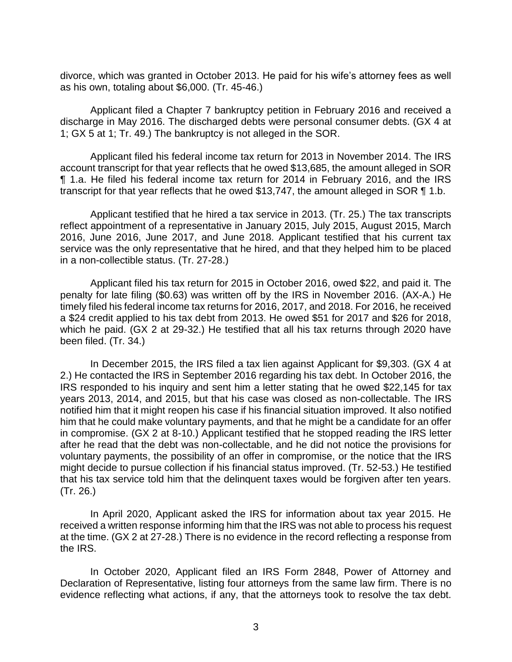divorce, which was granted in October 2013. He paid for his wife's attorney fees as well as his own, totaling about \$6,000. (Tr. 45-46.)

 Applicant filed a Chapter 7 bankruptcy petition in February 2016 and received a discharge in May 2016. The discharged debts were personal consumer debts. (GX 4 at 1; GX 5 at 1; Tr. 49.) The bankruptcy is not alleged in the SOR.

 Applicant filed his federal income tax return for 2013 in November 2014. The IRS account transcript for that year reflects that he owed \$13,685, the amount alleged in SOR ¶ 1.a. He filed his federal income tax return for 2014 in February 2016, and the IRS transcript for that year reflects that he owed \$13,747, the amount alleged in SOR ¶ 1.b.

 Applicant testified that he hired a tax service in 2013. (Tr. 25.) The tax transcripts reflect appointment of a representative in January 2015, July 2015, August 2015, March 2016, June 2016, June 2017, and June 2018. Applicant testified that his current tax service was the only representative that he hired, and that they helped him to be placed in a non-collectible status. (Tr. 27-28.)

 penalty for late filing (\$0.63) was written off by the IRS in November 2016. (AX-A.) He timely filed his federal income tax returns for 2016, 2017, and 2018. For 2016, he received a \$24 credit applied to his tax debt from 2013. He owed \$51 for 2017 and \$26 for 2018, which he paid. (GX 2 at 29-32.) He testified that all his tax returns through 2020 have Applicant filed his tax return for 2015 in October 2016, owed \$22, and paid it. The been filed. (Tr. 34.)

 In December 2015, the IRS filed a tax lien against Applicant for \$9,303. (GX 4 at 2.) He contacted the IRS in September 2016 regarding his tax debt. In October 2016, the IRS responded to his inquiry and sent him a letter stating that he owed \$22,145 for tax years 2013, 2014, and 2015, but that his case was closed as non-collectable. The IRS notified him that it might reopen his case if his financial situation improved. It also notified him that he could make voluntary payments, and that he might be a candidate for an offer in compromise. (GX 2 at 8-10.) Applicant testified that he stopped reading the IRS letter after he read that the debt was non-collectable, and he did not notice the provisions for voluntary payments, the possibility of an offer in compromise, or the notice that the IRS might decide to pursue collection if his financial status improved. (Tr. 52-53.) He testified that his tax service told him that the delinquent taxes would be forgiven after ten years. (Tr. 26.)

 In April 2020, Applicant asked the IRS for information about tax year 2015. He received a written response informing him that the IRS was not able to process his request at the time. (GX 2 at 27-28.) There is no evidence in the record reflecting a response from the IRS.

 In October 2020, Applicant filed an IRS Form 2848, Power of Attorney and Declaration of Representative, listing four attorneys from the same law firm. There is no evidence reflecting what actions, if any, that the attorneys took to resolve the tax debt.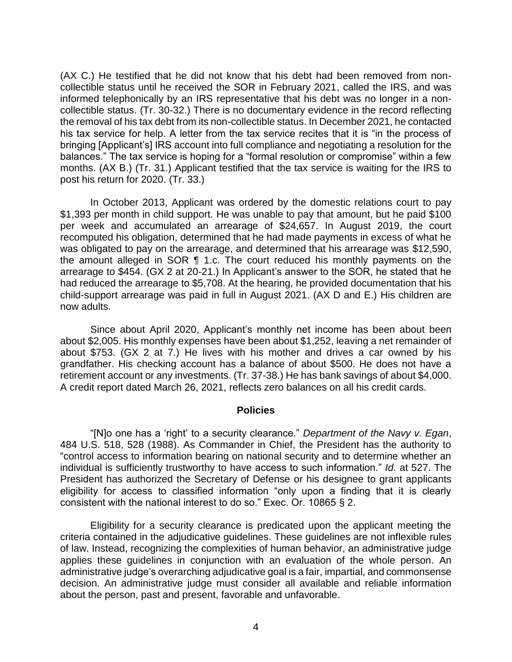(AX C.) He testified that he did not know that his debt had been removed from noncollectible status until he received the SOR in February 2021, called the IRS, and was informed telephonically by an IRS representative that his debt was no longer in a noncollectible status. (Tr. 30-32.) There is no documentary evidence in the record reflecting the removal of his tax debt from its non-collectible status. In December 2021, he contacted his tax service for help. A letter from the tax service recites that it is "in the process of bringing [Applicant's] IRS account into full compliance and negotiating a resolution for the balances." The tax service is hoping for a "formal resolution or compromise" within a few months. (AX B.) (Tr. 31.) Applicant testified that the tax service is waiting for the IRS to post his return for 2020. (Tr. 33.)

 In October 2013, Applicant was ordered by the domestic relations court to pay \$1,393 per month in child support. He was unable to pay that amount, but he paid \$100 per week and accumulated an arrearage of \$24,657. In August 2019, the court recomputed his obligation, determined that he had made payments in excess of what he was obligated to pay on the arrearage, and determined that his arrearage was \$12,590, the amount alleged in SOR ¶ 1.c. The court reduced his monthly payments on the arrearage to \$454. (GX 2 at 20-21.) In Applicant's answer to the SOR, he stated that he had reduced the arrearage to \$5,708. At the hearing, he provided documentation that his child-support arrearage was paid in full in August 2021. (AX D and E.) His children are now adults.

 about \$2,005. His monthly expenses have been about \$1,252, leaving a net remainder of about \$753. (GX 2 at 7.) He lives with his mother and drives a car owned by his grandfather. His checking account has a balance of about \$500. He does not have a retirement account or any investments. (Tr. 37-38.) He has bank savings of about \$4,000. Since about April 2020, Applicant's monthly net income has been about been A credit report dated March 26, 2021, reflects zero balances on all his credit cards.

#### **Policies**

 "[N]o one has a 'right' to a security clearance." *Department of the Navy v. Egan*, 484 U.S. 518, 528 (1988). As Commander in Chief, the President has the authority to "control access to information bearing on national security and to determine whether an individual is sufficiently trustworthy to have access to such information." *Id.* at 527. The President has authorized the Secretary of Defense or his designee to grant applicants eligibility for access to classified information "only upon a finding that it is clearly consistent with the national interest to do so." Exec. Or. 10865 § 2.

 Eligibility for a security clearance is predicated upon the applicant meeting the criteria contained in the adjudicative guidelines. These guidelines are not inflexible rules applies these guidelines in conjunction with an evaluation of the whole person. An administrative judge's overarching adjudicative goal is a fair, impartial, and commonsense about the person, past and present, favorable and unfavorable. of law. Instead, recognizing the complexities of human behavior, an administrative judge decision. An administrative judge must consider all available and reliable information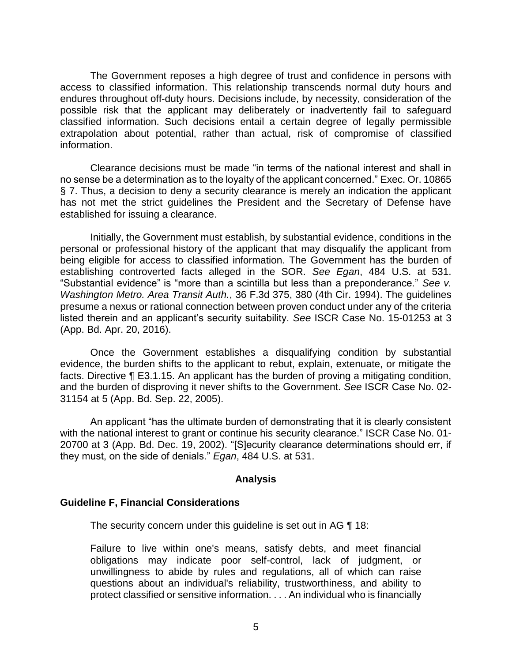The Government reposes a high degree of trust and confidence in persons with access to classified information. This relationship transcends normal duty hours and endures throughout off-duty hours. Decisions include, by necessity, consideration of the possible risk that the applicant may deliberately or inadvertently fail to safeguard classified information. Such decisions entail a certain degree of legally permissible extrapolation about potential, rather than actual, risk of compromise of classified information.

 Clearance decisions must be made "in terms of the national interest and shall in no sense be a determination as to the loyalty of the applicant concerned." Exec. Or. 10865 § 7. Thus, a decision to deny a security clearance is merely an indication the applicant has not met the strict guidelines the President and the Secretary of Defense have established for issuing a clearance.

 Initially, the Government must establish, by substantial evidence, conditions in the personal or professional history of the applicant that may disqualify the applicant from being eligible for access to classified information. The Government has the burden of establishing controverted facts alleged in the SOR. *See Egan*, 484 U.S. at 531. "Substantial evidence" is "more than a scintilla but less than a preponderance." *See v. Washington Metro. Area Transit Auth.*, 36 F.3d 375, 380 (4th Cir. 1994). The guidelines presume a nexus or rational connection between proven conduct under any of the criteria listed therein and an applicant's security suitability. *See* ISCR Case No. 15-01253 at 3 (App. Bd. Apr. 20, 2016).

Once the Government establishes a disqualifying condition by substantial evidence, the burden shifts to the applicant to rebut, explain, extenuate, or mitigate the facts. Directive ¶ E3.1.15. An applicant has the burden of proving a mitigating condition, and the burden of disproving it never shifts to the Government. *See* ISCR Case No. 02- 31154 at 5 (App. Bd. Sep. 22, 2005).

An applicant "has the ultimate burden of demonstrating that it is clearly consistent with the national interest to grant or continue his security clearance." ISCR Case No. 01- 20700 at 3 (App. Bd. Dec. 19, 2002). "[S]ecurity clearance determinations should err, if they must, on the side of denials." *Egan*, 484 U.S. at 531.

### **Analysis**

### **Guideline F, Financial Considerations**

The security concern under this guideline is set out in AG ¶ 18:

 Failure to live within one's means, satisfy debts, and meet financial obligations may indicate poor self-control, lack of judgment, or unwillingness to abide by rules and regulations, all of which can raise questions about an individual's reliability, trustworthiness, and ability to protect classified or sensitive information. . . . An individual who is financially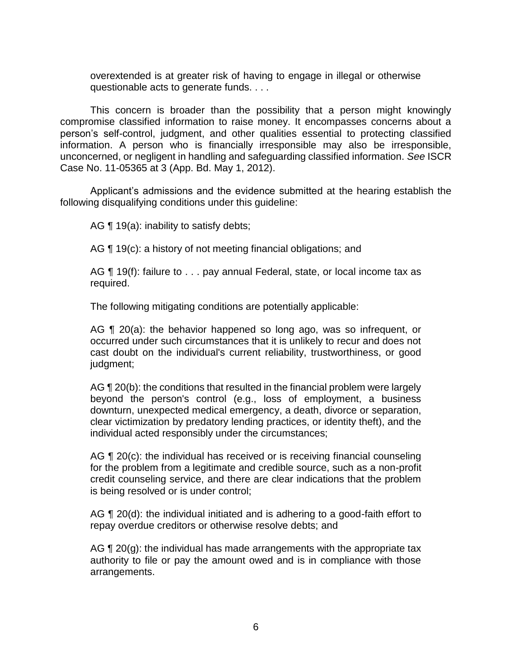overextended is at greater risk of having to engage in illegal or otherwise questionable acts to generate funds. . . .

 This concern is broader than the possibility that a person might knowingly compromise classified information to raise money. It encompasses concerns about a person's self-control, judgment, and other qualities essential to protecting classified information. A person who is financially irresponsible may also be irresponsible, unconcerned, or negligent in handling and safeguarding classified information. *See* ISCR Case No. 11-05365 at 3 (App. Bd. May 1, 2012).

 Applicant's admissions and the evidence submitted at the hearing establish the following disqualifying conditions under this guideline:

AG  $\P$  19(a): inability to satisfy debts;

AG ¶ 19(c): a history of not meeting financial obligations; and

AG ¶ 19(f): failure to . . . pay annual Federal, state, or local income tax as required.

The following mitigating conditions are potentially applicable:

AG ¶ 20(a): the behavior happened so long ago, was so infrequent, or occurred under such circumstances that it is unlikely to recur and does not cast doubt on the individual's current reliability, trustworthiness, or good judgment;

AG ¶ 20(b): the conditions that resulted in the financial problem were largely beyond the person's control (e.g., loss of employment, a business clear victimization by predatory lending practices, or identity theft), and the downturn, unexpected medical emergency, a death, divorce or separation, individual acted responsibly under the circumstances;

AG ¶ 20(c): the individual has received or is receiving financial counseling for the problem from a legitimate and credible source, such as a non-profit credit counseling service, and there are clear indications that the problem is being resolved or is under control;

AG ¶ 20(d): the individual initiated and is adhering to a good-faith effort to repay overdue creditors or otherwise resolve debts; and

AG ¶ 20(g): the individual has made arrangements with the appropriate tax authority to file or pay the amount owed and is in compliance with those arrangements.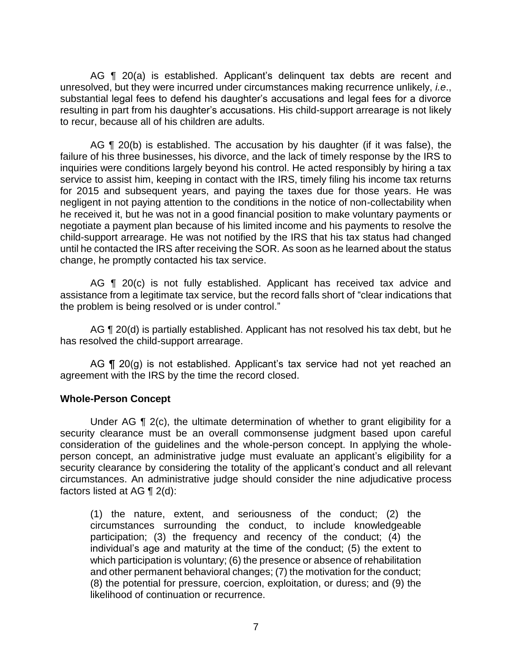AG ¶ 20(a) is established. Applicant's delinquent tax debts are recent and unresolved, but they were incurred under circumstances making recurrence unlikely, *i.e*., substantial legal fees to defend his daughter's accusations and legal fees for a divorce resulting in part from his daughter's accusations. His child-support arrearage is not likely to recur, because all of his children are adults.

AG ¶ 20(b) is established. The accusation by his daughter (if it was false), the failure of his three businesses, his divorce, and the lack of timely response by the IRS to service to assist him, keeping in contact with the IRS, timely filing his income tax returns for 2015 and subsequent years, and paying the taxes due for those years. He was negligent in not paying attention to the conditions in the notice of non-collectability when he received it, but he was not in a good financial position to make voluntary payments or child-support arrearage. He was not notified by the IRS that his tax status had changed until he contacted the IRS after receiving the SOR. As soon as he learned about the status inquiries were conditions largely beyond his control. He acted responsibly by hiring a tax negotiate a payment plan because of his limited income and his payments to resolve the change, he promptly contacted his tax service.

AG  $\P$  20(c) is not fully established. Applicant has received tax advice and assistance from a legitimate tax service, but the record falls short of "clear indications that the problem is being resolved or is under control."

AG  $\P$  20(d) is partially established. Applicant has not resolved his tax debt, but he has resolved the child-support arrearage.

AG ¶ 20(g) is not established. Applicant's tax service had not yet reached an agreement with the IRS by the time the record closed.

### **Whole-Person Concept**

Under AG  $\P$  2(c), the ultimate determination of whether to grant eligibility for a security clearance must be an overall commonsense judgment based upon careful consideration of the guidelines and the whole-person concept. In applying the whole- person concept, an administrative judge must evaluate an applicant's eligibility for a security clearance by considering the totality of the applicant's conduct and all relevant circumstances. An administrative judge should consider the nine adjudicative process factors listed at AG ¶ 2(d):

 (1) the nature, extent, and seriousness of the conduct; (2) the circumstances surrounding the conduct, to include knowledgeable participation; (3) the frequency and recency of the conduct; (4) the individual's age and maturity at the time of the conduct; (5) the extent to which participation is voluntary; (6) the presence or absence of rehabilitation and other permanent behavioral changes; (7) the motivation for the conduct; (8) the potential for pressure, coercion, exploitation, or duress; and (9) the likelihood of continuation or recurrence.